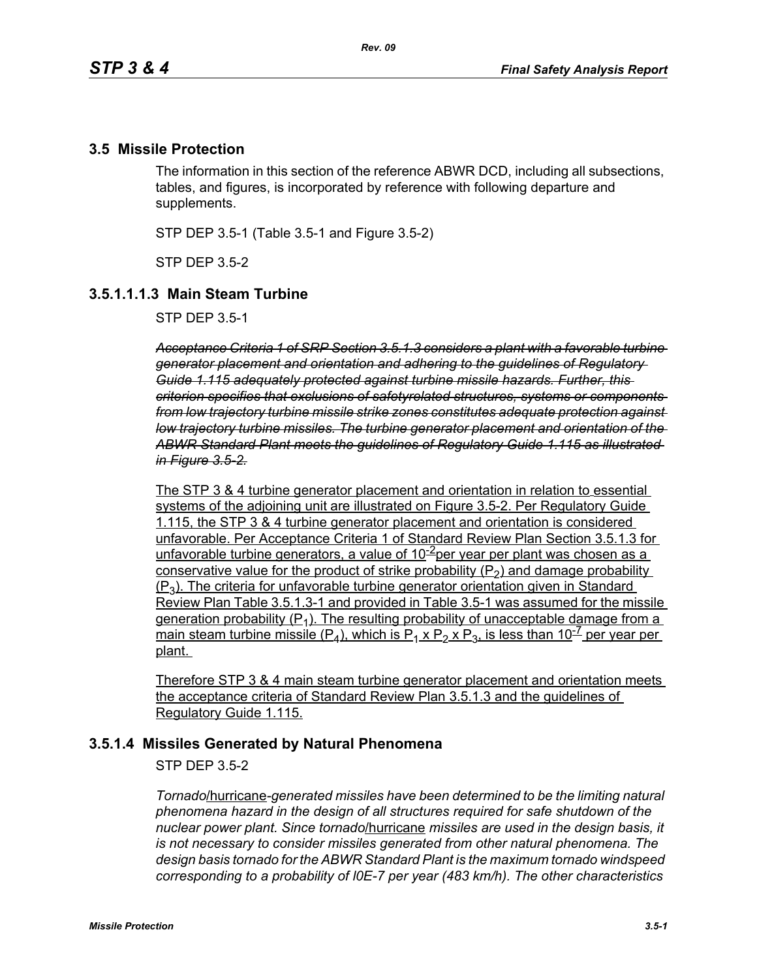### **3.5 Missile Protection**

The information in this section of the reference ABWR DCD, including all subsections, tables, and figures, is incorporated by reference with following departure and supplements.

STP DEP 3.5-1 (Table 3.5-1 and Figure 3.5-2)

STP DEP 3.5-2

### **3.5.1.1.1.3 Main Steam Turbine**

STP DEP 3.5-1

*Acceptance Criteria 1 of SRP Section 3.5.1.3 considers a plant with a favorable turbine generator placement and orientation and adhering to the guidelines of Regulatory Guide 1.115 adequately protected against turbine missile hazards. Further, this criterion specifies that exclusions of safetyrelated structures, systems or components from low trajectory turbine missile strike zones constitutes adequate protection against low trajectory turbine missiles. The turbine generator placement and orientation of the ABWR Standard Plant meets the guidelines of Regulatory Guide 1.115 as illustrated in Figure 3.5-2.*

The STP 3 & 4 turbine generator placement and orientation in relation to essential systems of the adjoining unit are illustrated on Figure 3.5-2. Per Regulatory Guide 1.115, the STP 3 & 4 turbine generator placement and orientation is considered unfavorable. Per Acceptance Criteria 1 of Standard Review Plan Section 3.5.1.3 for unfavorable turbine generators, a value of  $10^{-2}$ per year per plant was chosen as a conservative value for the product of strike probability  $(P_2)$  and damage probability  $(P_3)$ . The criteria for unfavorable turbine generator orientation given in Standard Review Plan Table 3.5.1.3-1 and provided in Table 3.5-1 was assumed for the missile generation probability  $(P_1)$ . The resulting probability of unacceptable damage from a main steam turbine missile (P<sub>4</sub>), which is P<sub>1</sub> x P<sub>2</sub> x P<sub>3</sub>, is less than 10<sup>-7</sup> per year per plant.

Therefore STP 3 & 4 main steam turbine generator placement and orientation meets the acceptance criteria of Standard Review Plan 3.5.1.3 and the guidelines of Regulatory Guide 1.115.

#### **3.5.1.4 Missiles Generated by Natural Phenomena**

STP DEP 3.5-2

*Tornado*/hurricane*-generated missiles have been determined to be the limiting natural phenomena hazard in the design of all structures required for safe shutdown of the nuclear power plant. Since tornado*/hurricane *missiles are used in the design basis, it is not necessary to consider missiles generated from other natural phenomena. The design basis tornado for the ABWR Standard Plant is the maximum tornado windspeed corresponding to a probability of l0E-7 per year (483 km/h). The other characteristics*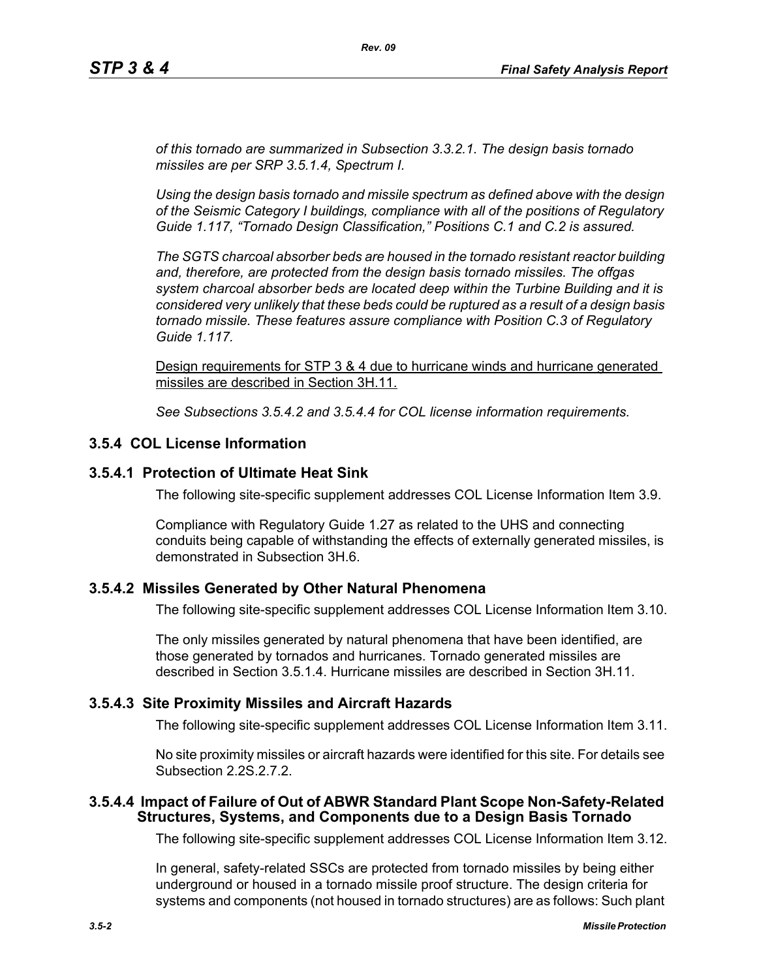*of this tornado are summarized in Subsection 3.3.2.1. The design basis tornado missiles are per SRP 3.5.1.4, Spectrum I.*

*Using the design basis tornado and missile spectrum as defined above with the design of the Seismic Category I buildings, compliance with all of the positions of Regulatory Guide 1.117, "Tornado Design Classification," Positions C.1 and C.2 is assured.*

*The SGTS charcoal absorber beds are housed in the tornado resistant reactor building and, therefore, are protected from the design basis tornado missiles. The offgas system charcoal absorber beds are located deep within the Turbine Building and it is considered very unlikely that these beds could be ruptured as a result of a design basis tornado missile. These features assure compliance with Position C.3 of Regulatory Guide 1.117.*

Design requirements for STP 3 & 4 due to hurricane winds and hurricane generated missiles are described in Section 3H.11.

*See Subsections 3.5.4.2 and 3.5.4.4 for COL license information requirements.*

### **3.5.4 COL License Information**

#### **3.5.4.1 Protection of Ultimate Heat Sink**

The following site-specific supplement addresses COL License Information Item 3.9.

Compliance with Regulatory Guide 1.27 as related to the UHS and connecting conduits being capable of withstanding the effects of externally generated missiles, is demonstrated in Subsection 3H.6.

#### **3.5.4.2 Missiles Generated by Other Natural Phenomena**

The following site-specific supplement addresses COL License Information Item 3.10.

The only missiles generated by natural phenomena that have been identified, are those generated by tornados and hurricanes. Tornado generated missiles are described in Section 3.5.1.4. Hurricane missiles are described in Section 3H.11.

#### **3.5.4.3 Site Proximity Missiles and Aircraft Hazards**

The following site-specific supplement addresses COL License Information Item 3.11.

No site proximity missiles or aircraft hazards were identified for this site. For details see Subsection 2.2S.2.7.2.

#### **3.5.4.4 Impact of Failure of Out of ABWR Standard Plant Scope Non-Safety-Related Structures, Systems, and Components due to a Design Basis Tornado**

The following site-specific supplement addresses COL License Information Item 3.12.

In general, safety-related SSCs are protected from tornado missiles by being either underground or housed in a tornado missile proof structure. The design criteria for systems and components (not housed in tornado structures) are as follows: Such plant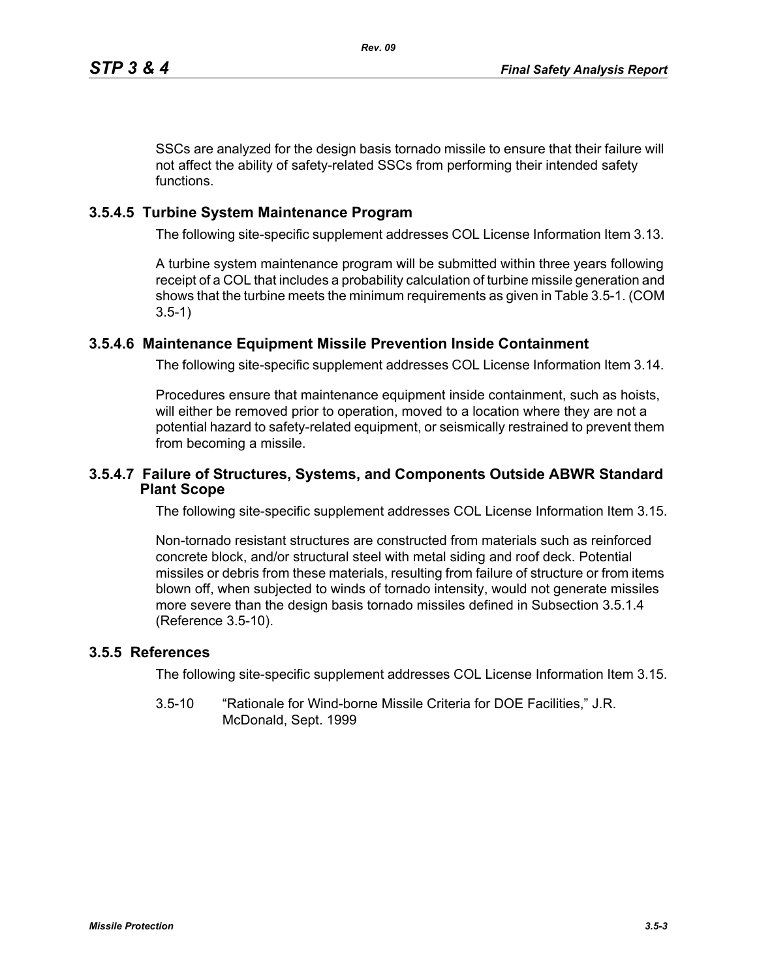SSCs are analyzed for the design basis tornado missile to ensure that their failure will not affect the ability of safety-related SSCs from performing their intended safety functions.

## **3.5.4.5 Turbine System Maintenance Program**

The following site-specific supplement addresses COL License Information Item 3.13.

A turbine system maintenance program will be submitted within three years following receipt of a COL that includes a probability calculation of turbine missile generation and shows that the turbine meets the minimum requirements as given in Table 3.5-1. (COM 3.5-1)

# **3.5.4.6 Maintenance Equipment Missile Prevention Inside Containment**

The following site-specific supplement addresses COL License Information Item 3.14.

Procedures ensure that maintenance equipment inside containment, such as hoists, will either be removed prior to operation, moved to a location where they are not a potential hazard to safety-related equipment, or seismically restrained to prevent them from becoming a missile.

## **3.5.4.7 Failure of Structures, Systems, and Components Outside ABWR Standard Plant Scope**

The following site-specific supplement addresses COL License Information Item 3.15.

Non-tornado resistant structures are constructed from materials such as reinforced concrete block, and/or structural steel with metal siding and roof deck. Potential missiles or debris from these materials, resulting from failure of structure or from items blown off, when subjected to winds of tornado intensity, would not generate missiles more severe than the design basis tornado missiles defined in Subsection 3.5.1.4 (Reference 3.5-10).

## **3.5.5 References**

The following site-specific supplement addresses COL License Information Item 3.15.

3.5-10 "Rationale for Wind-borne Missile Criteria for DOE Facilities," J.R. McDonald, Sept. 1999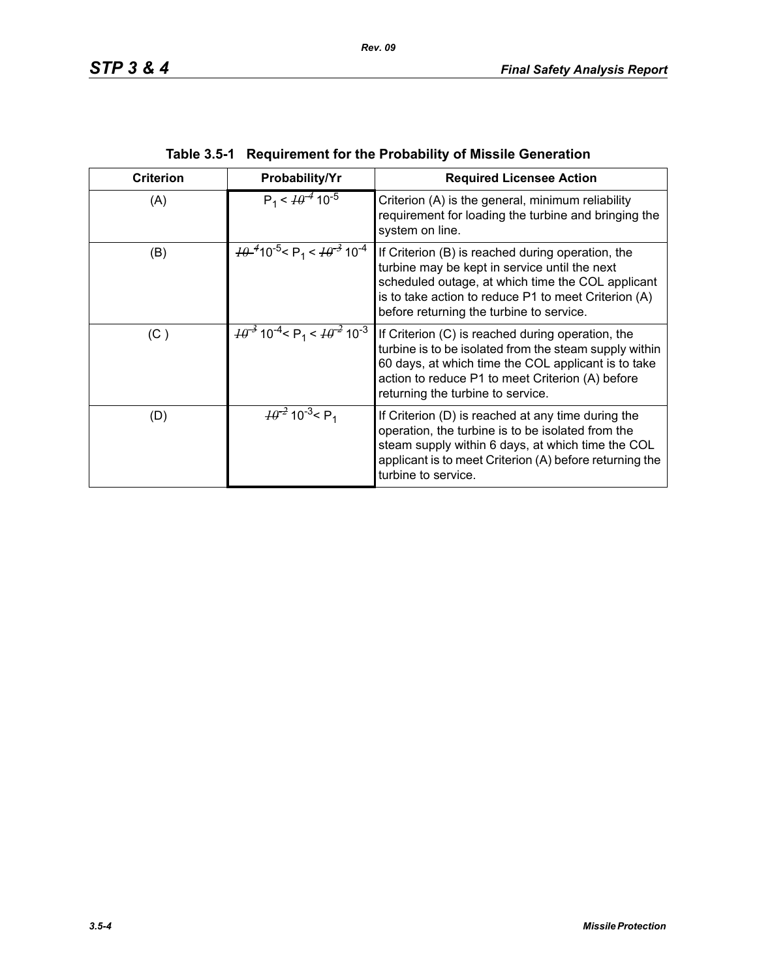| <b>Criterion</b> | Probability/Yr                                                                     | <b>Required Licensee Action</b>                                                                                                                                                                                                                             |
|------------------|------------------------------------------------------------------------------------|-------------------------------------------------------------------------------------------------------------------------------------------------------------------------------------------------------------------------------------------------------------|
| (A)              | $P_1 < \frac{10^{-4}}{10^{-5}}$                                                    | Criterion (A) is the general, minimum reliability<br>requirement for loading the turbine and bringing the<br>system on line.                                                                                                                                |
| (B)              | $H^{4}$ 10 <sup>-5</sup> < P <sub>1</sub> < $H^{3}$ 10 <sup>-4</sup>               | If Criterion (B) is reached during operation, the<br>turbine may be kept in service until the next<br>scheduled outage, at which time the COL applicant<br>is to take action to reduce P1 to meet Criterion (A)<br>before returning the turbine to service. |
| (C)              | $H\theta^{-3}$ 10 <sup>-4</sup> < P <sub>1</sub> < $H\theta^{-2}$ 10 <sup>-3</sup> | If Criterion (C) is reached during operation, the<br>turbine is to be isolated from the steam supply within<br>60 days, at which time the COL applicant is to take<br>action to reduce P1 to meet Criterion (A) before<br>returning the turbine to service. |
| (D)              | $\frac{10^{-2}}{2}$ 10 <sup>-3</sup> < P <sub>1</sub>                              | If Criterion (D) is reached at any time during the<br>operation, the turbine is to be isolated from the<br>steam supply within 6 days, at which time the COL<br>applicant is to meet Criterion (A) before returning the<br>turbine to service.              |

| Table 3.5-1 Requirement for the Probability of Missile Generation |  |
|-------------------------------------------------------------------|--|
|                                                                   |  |